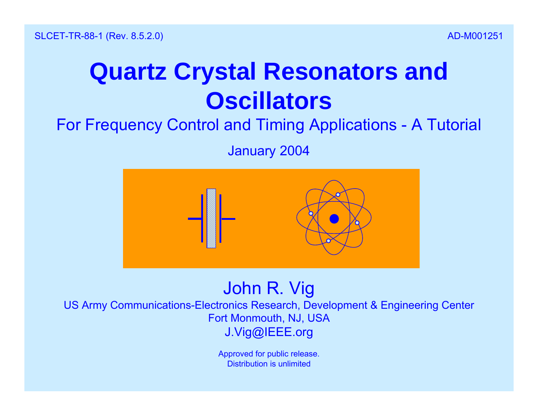# **Quartz Crystal Resonators and Oscillators**

For Frequency Control and Timing Applications - A Tutorial

January 2004



Approved for public release. Distribution is unlimited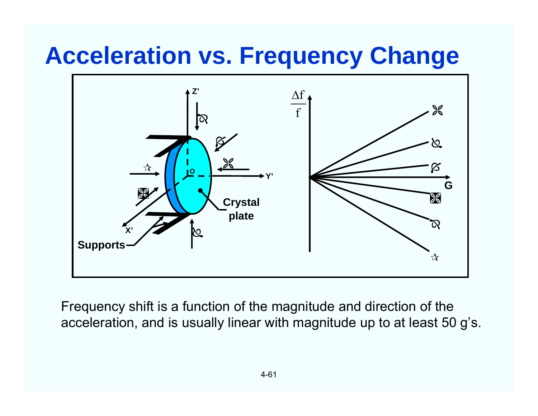### **Acceleration vs. Frequency Change**



Frequency shift is a function of the magnitude and direction of the acceleration, and is usually linear with magnitude up to at least 50 g's.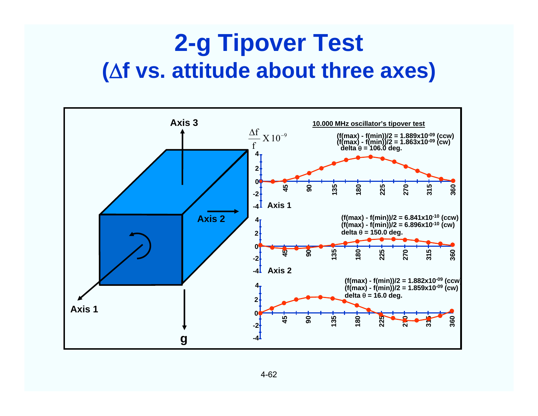### **2-g Tipover Test (f vs. attitude about three axes)**

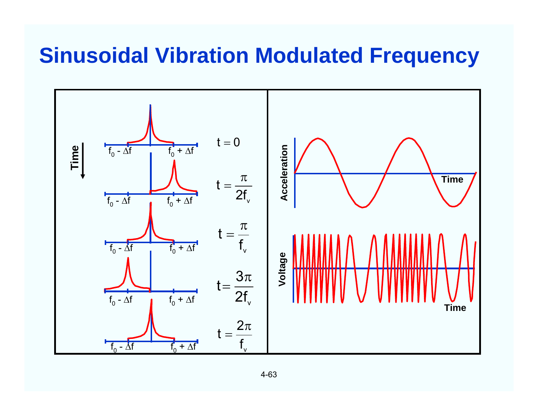#### **Sinusoidal Vibration Modulated Frequency**

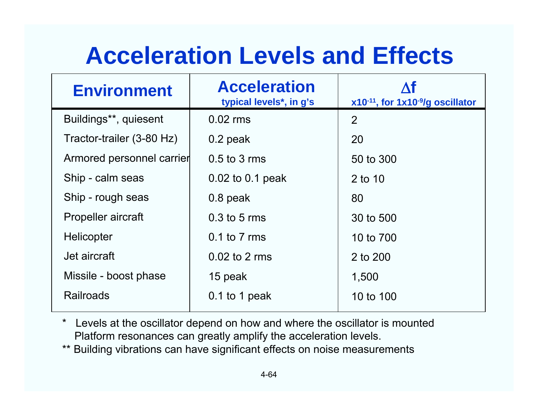# **Acceleration Levels and Effects**

| <b>Environment</b>        | <b>Acceleration</b><br>typical levels*, in g's | x10-11, for 1x10-9/g oscillator |
|---------------------------|------------------------------------------------|---------------------------------|
| Buildings**, quiesent     | $0.02$ rms                                     | 2                               |
| Tractor-trailer (3-80 Hz) | $0.2$ peak                                     | 20                              |
| Armored personnel carrier | $0.5$ to 3 rms                                 | 50 to 300                       |
| Ship - calm seas          | 0.02 to 0.1 peak                               | 2 to 10                         |
| Ship - rough seas         | 0.8 peak                                       | 80                              |
| <b>Propeller aircraft</b> | $0.3$ to 5 rms                                 | 30 to 500                       |
| Helicopter                | $0.1$ to $7$ rms                               | 10 to 700                       |
| Jet aircraft              | $0.02$ to 2 rms                                | 2 to 200                        |
| Missile - boost phase     | 15 peak                                        | 1,500                           |
| <b>Railroads</b>          | 0.1 to 1 peak                                  | 10 to 100                       |

\* Levels at the oscillator depend on how and where the oscillator is mounted Platform resonances can greatly amplify the acceleration levels.

\*\* Building vibrations can have significant effects on noise measurements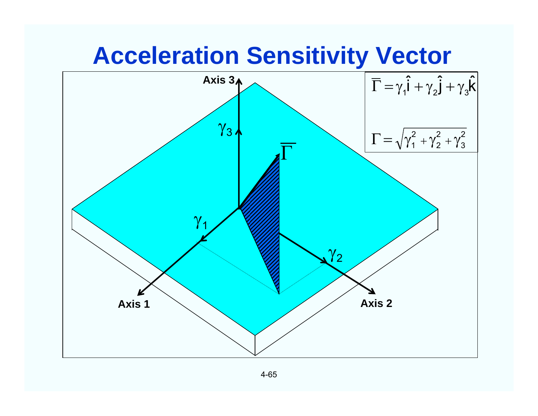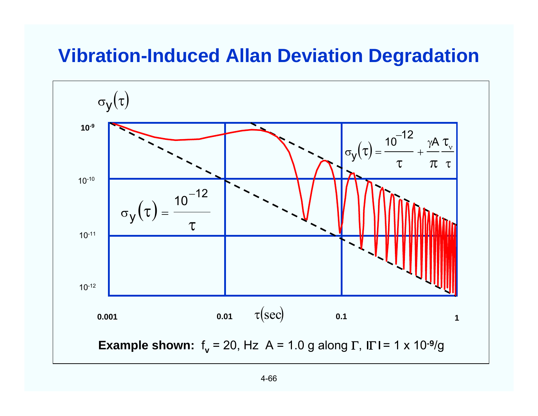#### **Vibration-Induced Allan Deviation Degradation**

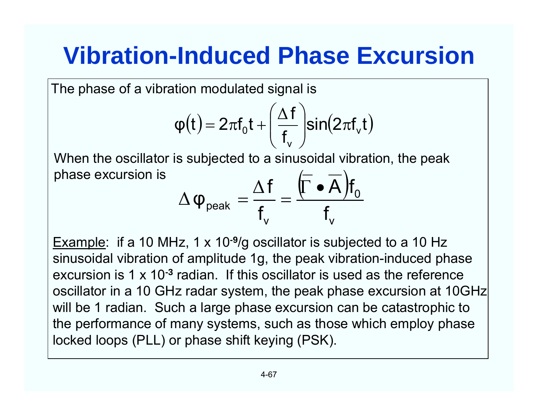# **Vibration-Induced Phase Excursion**

The phase of a vibration modulated signal is

$$
\phi(t)=2\pi f_0 t+\left(\frac{\Delta f}{f_v}\right)\!\!\sin\!\!\left(2\pi f_v t\right)
$$

When the oscillator is subjected to a sinusoidal vibration, the peak phase excursion is  $\left( \begin{array}{cc} - & - \end{array} \right)$ 

$$
\Delta \phi_{\text{peak}} = \frac{\Delta f}{f_v} = \frac{(\Gamma \bullet A) f_0}{f_v}
$$

Example: if a 10 MHz, 1 x 10**-9**/g oscillator is subjected to a 10 Hz sinusoidal vibration of amplitude 1g, the peak vibration-induced phase excursion is 1 x 10**-3** radian. If this oscillator is used as the referenceoscillator in a 10 GHz radar system, the peak phase excursion at 10GHz will be 1 radian. Such a large phase excursion can be catastrophic to the performance of many systems, such as those which employ phase locked loops (PLL) or phase shift keying (PSK).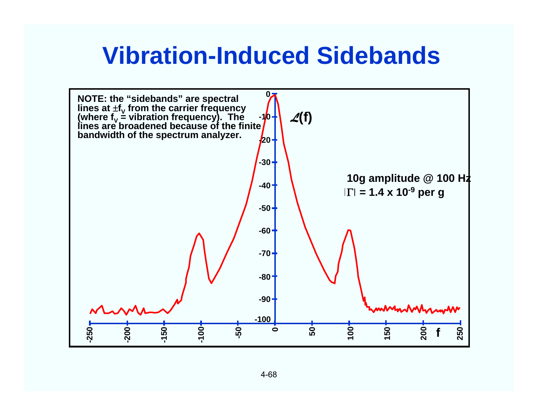### **Vibration-Induced Sidebands**

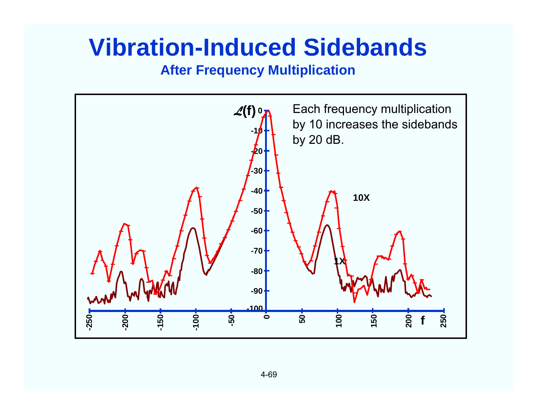### **Vibration-Induced Sidebands**

#### **After Frequency Multiplication**

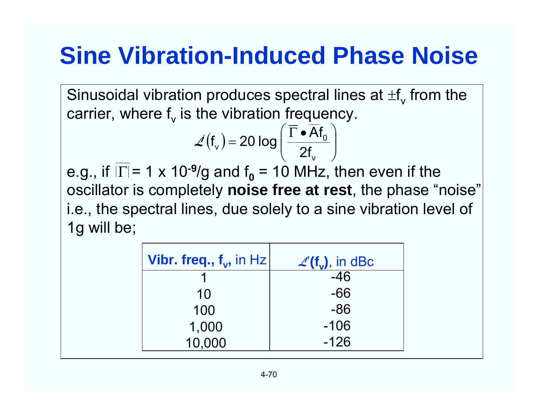# **Sine Vibration-Induced Phase Noise**

Sinusoidal vibration produces spectral lines at  $\pm \mathsf{f}_\mathsf{v}$  from the carrier, where  $\mathsf{f}_\mathsf{v}$  is the vibration frequency.

$$
\angle(f_{\mathsf{v}}) = 20 \log \left( \frac{\overline{\Gamma} \cdot \overline{\mathsf{A}} f_{\mathsf{0}}}{2f_{\mathsf{v}}} \right)
$$

e.g., if  $|\Gamma|$ = 1 x 10<sup>-9</sup>/g and f $_{\text{0}}$  = 10 MHz, then even if the oscillator is completely **noise free at rest**, the phase "noise" i.e., the spectral lines, due solely to a sine vibration level of 1g will be;

| Vibr. freq., $f_v$ , in Hz | $\mathcal{L}(\mathbf{f}_{v})$ , in dBc |
|----------------------------|----------------------------------------|
|                            | $-46$                                  |
| 10                         | -66                                    |
| 100                        | $-86$                                  |
| 1,000                      | $-106$                                 |
| 10,000                     | $-126$                                 |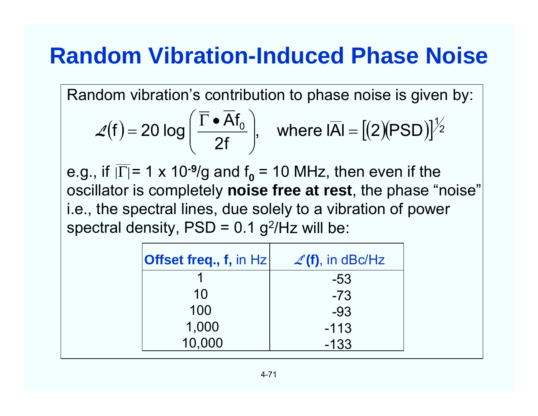### **Random Vibration-Induced Phase Noise**

Random vibration's contribution to phase noise is given by:

$$
\mathcal{L}(f) = 20 \log \left( \frac{\overline{\Gamma} \cdot \overline{Af}_0}{2f} \right), \quad \text{where } I\overline{AI} = \left[ (2)(PSD) \right]^{1/2}
$$

e.g., if  $|\Gamma|$ = 1 x 10<sup>-9</sup>/g and f<sub>o</sub> = 10 MHz, then even if the oscillator is completely **noise free at rest**, the phase "noise" i.e., the spectral lines, due solely to a vibration of power spectral density,  $PSD = 0.1$  g<sup>2</sup>/Hz will be:

| $\vert$ Offset freq., f, in Hz $\vert$ | $\mathcal{L}'(\mathbf{f})$ , in dBc/Hz |
|----------------------------------------|----------------------------------------|
|                                        | -53                                    |
| 10                                     | $-73$                                  |
| 100                                    | $-93$                                  |
| 1,000                                  | $-113$                                 |
| 10,000                                 | $-133$                                 |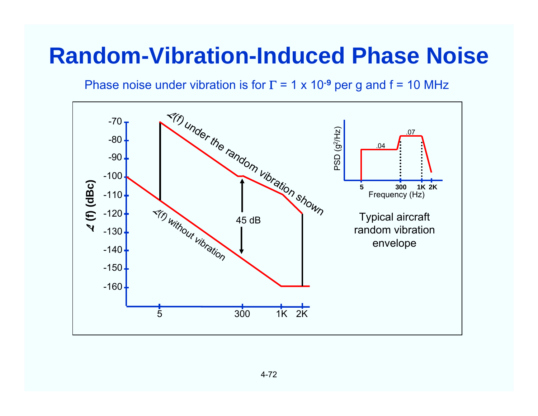### **Random-Vibration-Induced Phase Noise**

Phase noise under vibration is for T = 1 x 10<sup>-9</sup> per g and f = 10 MHz

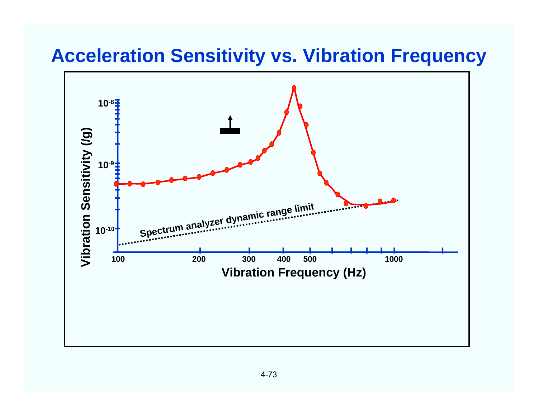#### **Acceleration Sensitivity vs. Vibration Frequency**

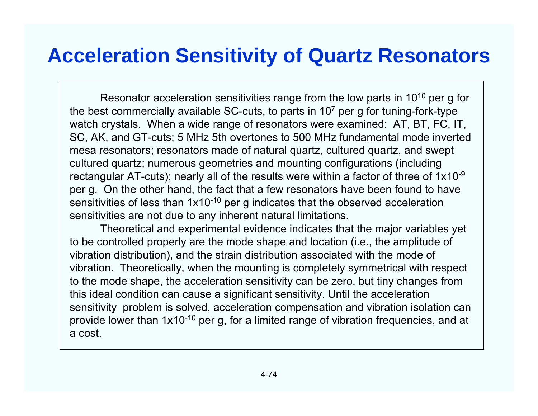#### **Acceleration Sensitivity of Quartz Resonators**

Resonator acceleration sensitivities range from the low parts in 10<sup>10</sup> per g for the best commercially available SC-cuts, to parts in  $10<sup>7</sup>$  per g for tuning-fork-type watch crystals. When a wide range of resonators were examined: AT, BT, FC, IT, SC, AK, and GT-cuts; 5 MHz 5th overtones to 500 MHz fundamental mode inverted mesa resonators; resonators made of natural quartz, cultured quartz, and swept cultured quartz; numerous geometries and mounting configurations (including rectangular AT-cuts); nearly all of the results were within a factor of three of  $1x10^{-9}$ per g. On the other hand, the fact that a few resonators have been found to have sensitivities of less than 1x10-<sup>10</sup> per g indicates that the observed acceleration sensitivities are not due to any inherent natural limitations.

Theoretical and experimental evidence indicates that the major variables yet to be controlled properly are the mode shape and location (i.e., the amplitude of vibration distribution), and the strain distribution associated with the mode of vibration. Theoretically, when the mounting is completely symmetrical with respect to the mode shape, the acceleration sensitivity can be zero, but tiny changes from this ideal condition can cause a significant sensitivity. Until the acceleration sensitivity problem is solved, acceleration compensation and vibration isolation can provide lower than 1x10-10 per g, for a limited range of vibration frequencies, and at a cost.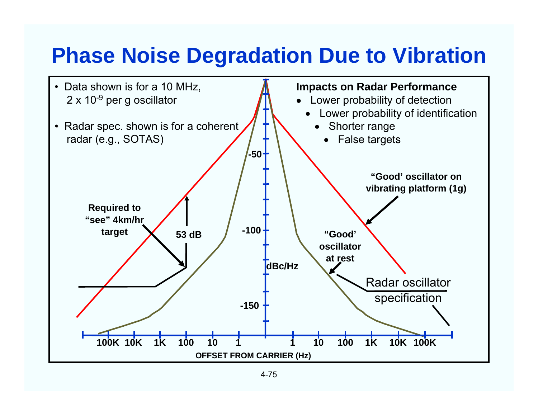### **Phase Noise Degradation Due to Vibration**

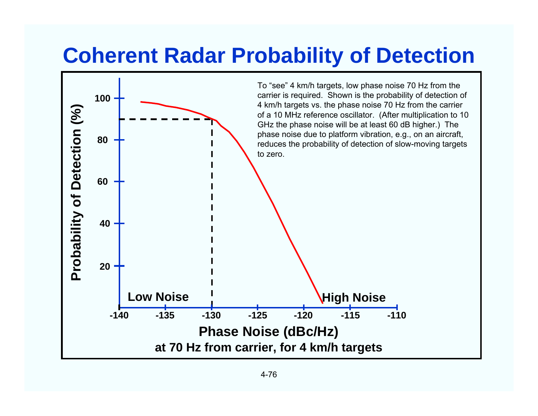#### **Coherent Radar Probability of Detection**

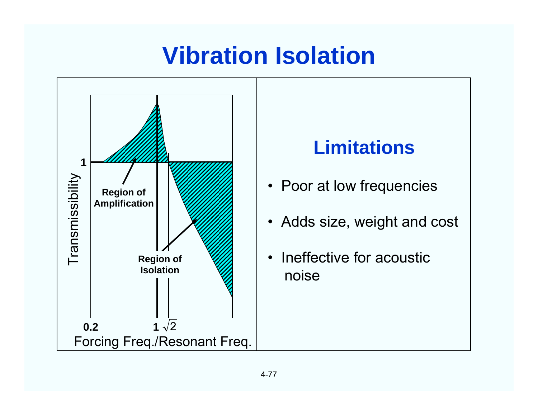# **Vibration Isolation**



#### **Limitations**

- Poor at low frequencies
- Adds size, weight and cost
- Ineffective for acousticnoise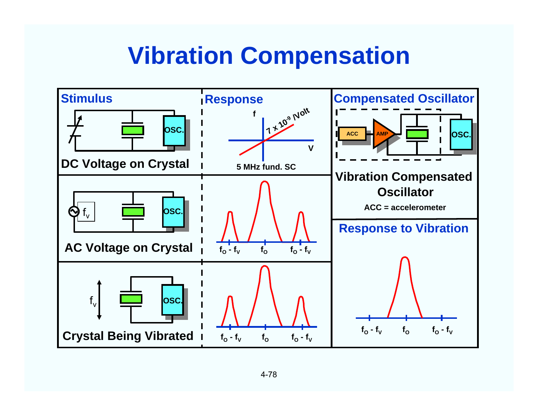### **Vibration Compensation**

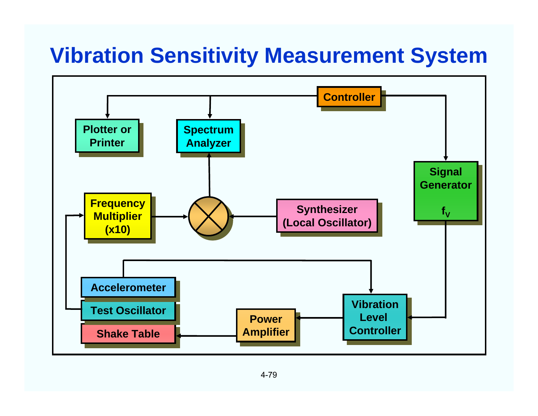### **Vibration Sensitivity Measurement System**